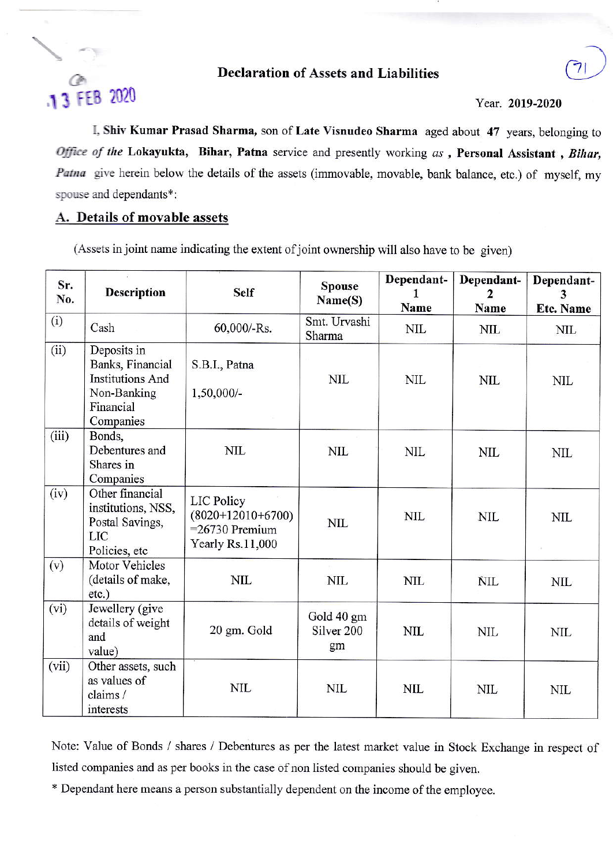## **Declaration of Assets and Liabilities**

# 13 FEB 2020

#### Year. 2019-2020

I, Shiv Kumar Prasad Sharma, son of Late Visnudeo Sharma aged about 47 years, belonging to Office of the Lokayukta, Bihar, Patna service and presently working as , Personal Assistant , Bihar, Patna give herein below the details of the assets (immovable, movable, bank balance, etc.) of myself, my spouse and dependants\*:

### A. Details of movable assets

(Assets in joint name indicating the extent of joint ownership will also have to be given)

| Sr.<br>No. | <b>Description</b>                                                                                  | <b>Self</b>                                                                      | <b>Spouse</b><br>Name(S)                  | Dependant-<br>1<br>Name | Dependant-<br>$\mathbf{2}$<br>Name | Dependant-<br>3<br><b>Etc. Name</b> |
|------------|-----------------------------------------------------------------------------------------------------|----------------------------------------------------------------------------------|-------------------------------------------|-------------------------|------------------------------------|-------------------------------------|
| (i)        | Cash                                                                                                | 60,000/-Rs.                                                                      | Smt. Urvashi<br>Sharma                    | <b>NIL</b>              | <b>NIL</b>                         | <b>NIL</b>                          |
| (ii)       | Deposits in<br>Banks, Financial<br><b>Institutions And</b><br>Non-Banking<br>Financial<br>Companies | S.B.I., Patna<br>1,50,000/-                                                      | <b>NIL</b>                                | <b>NIL</b>              | <b>NIL</b>                         | <b>NIL</b>                          |
| (iii)      | Bonds,<br>Debentures and<br>Shares in<br>Companies                                                  | <b>NIL</b>                                                                       | <b>NIL</b>                                | <b>NIL</b>              | <b>NIL</b>                         | <b>NIL</b>                          |
| (iv)       | Other financial<br>institutions, NSS,<br>Postal Savings,<br>LIC<br>Policies, etc                    | <b>LIC Policy</b><br>$(8020+12010+6700)$<br>$=26730$ Premium<br>Yearly Rs.11,000 | <b>NIL</b>                                | <b>NIL</b>              | <b>NIL</b>                         | <b>NIL</b>                          |
| (v)        | Motor Vehicles<br>(details of make,<br>$etc.$ )                                                     | <b>NIL</b>                                                                       | <b>NIL</b>                                | <b>NIL</b>              | <b>NIL</b>                         | <b>NIL</b>                          |
| (vi)       | Jewellery (give<br>details of weight<br>and<br>value)                                               | 20 gm. Gold                                                                      | Gold 40 gm<br>Silver <sub>200</sub><br>gm | <b>NIL</b>              | <b>NIL</b>                         | <b>NIL</b>                          |
| (vii)      | Other assets, such<br>as values of<br>claims/<br>interests                                          | <b>NIL</b>                                                                       | <b>NIL</b>                                | <b>NIL</b>              | <b>NIL</b>                         | <b>NIL</b>                          |

Note: Value of Bonds / shares / Debentures as per the latest market value in Stock Exchange in respect of listed companies and as per books in the case of non listed companies should be given.

\* Dependant here means a person substantially dependent on the income of the employee.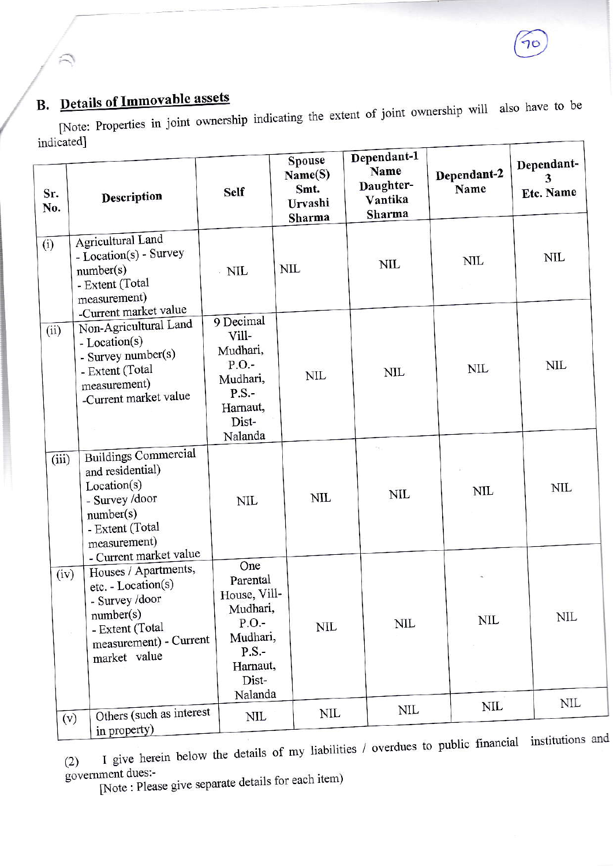# **B.** Details of Immovable assets

[Note: Properties in joint ownership indicating the extent of joint ownership will also have to be indicated]

| Sr.<br>No. | Description                                                                                                                                                            | <b>Self</b>                                                                                                 | Spouse<br>Name(S)<br>Smt.<br>Urvashi<br>Sharma | Dependant-1<br>Name<br>Daughter-<br>Vantika<br>Sharma | Dependant-2<br>Name | Dependant-<br><b>Etc. Name</b> |
|------------|------------------------------------------------------------------------------------------------------------------------------------------------------------------------|-------------------------------------------------------------------------------------------------------------|------------------------------------------------|-------------------------------------------------------|---------------------|--------------------------------|
| (i)        | Agricultural Land<br>- Location(s) - Survey<br>number(s)<br>- Extent (Total<br>measurement)                                                                            | $\cdot$ NIL                                                                                                 | NIL                                            | <b>NIL</b>                                            | <b>NIL</b>          | NIL                            |
| (ii)       | -Current market value<br>Non-Agricultural Land<br>- Location(s)<br>- Survey number(s)<br>- Extent (Total<br>measurement)<br>-Current market value                      | 9 Decimal<br>Vill-<br>Mudhari,<br>P.O.<br>Mudhari,<br>$P.S. -$<br>Harnaut,<br>Dist-<br>Nalanda              | <b>NIL</b>                                     | <b>NIL</b>                                            | NIL                 | NIL                            |
| (iii)      | <b>Buildings Commercial</b><br>and residential)<br>Location(s)<br>- Survey /door<br>number(s)<br>- Extent (Total<br>measurement)                                       | NIL                                                                                                         | <b>NIL</b>                                     | <b>NIL</b>                                            | NIL                 | NIL                            |
| (iv)       | - Current market value<br>Houses / Apartments,<br>etc. - Location(s)<br>- Survey /door<br>number(s)<br>- Extent (Total<br>ù.<br>measurement) - Current<br>market value | One<br>Parental<br>House, Vill-<br>Mudhari,<br>P.O.<br>Mudhari,<br>$P.S. -$<br>Harnaut,<br>Dist-<br>Nalanda | NIL                                            | <b>NIL</b>                                            | NIL                 | NIL                            |
|            | Others (such as interest<br>(v)<br>in property)                                                                                                                        | NIL                                                                                                         | NIL                                            | NIL                                                   | NIL                 | NIL                            |

I give herein below the details of my liabilities / overdues to public financial institutions and  $(2)$ government dues:-

[Note: Please give separate details for each item)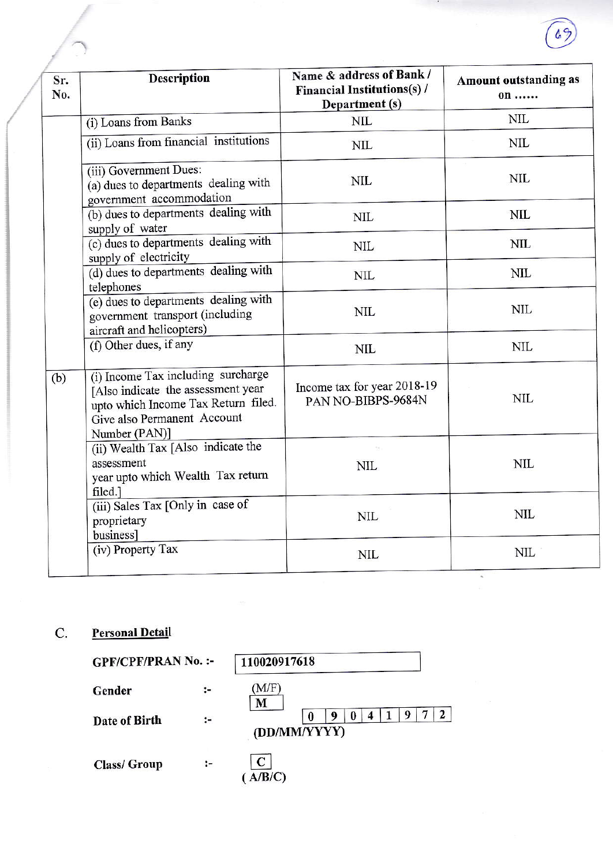| Sr.<br>No. | <b>Description</b>                                                                                                                                              | Name & address of Bank /<br><b>Financial Institutions(s)/</b><br>Department (s) | <b>Amount outstanding as</b><br>on |  |
|------------|-----------------------------------------------------------------------------------------------------------------------------------------------------------------|---------------------------------------------------------------------------------|------------------------------------|--|
|            | (i) Loans from Banks                                                                                                                                            | <b>NIL</b>                                                                      | <b>NIL</b>                         |  |
|            | (ii) Loans from financial institutions                                                                                                                          | <b>NIL</b>                                                                      | NIL                                |  |
|            | (iii) Government Dues:<br>(a) dues to departments dealing with<br>government accommodation                                                                      | <b>NIL</b>                                                                      | NIL                                |  |
|            | (b) dues to departments dealing with<br>supply of water                                                                                                         | <b>NIL</b>                                                                      | NIL                                |  |
| (b)        | (c) dues to departments dealing with<br>supply of electricity                                                                                                   | <b>NIL</b>                                                                      | <b>NIL</b>                         |  |
|            | (d) dues to departments dealing with<br>telephones                                                                                                              | <b>NIL</b>                                                                      | NIL                                |  |
|            | (e) dues to departments dealing with<br>government transport (including<br>aircraft and helicopters)                                                            | <b>NIL</b>                                                                      | NIL                                |  |
|            | (f) Other dues, if any                                                                                                                                          | NIL                                                                             | <b>NIL</b>                         |  |
|            | (i) Income Tax including surcharge<br>[Also indicate the assessment year<br>upto which Income Tax Return filed.<br>Give also Permanent Account<br>Number (PAN)] | Income tax for year 2018-19<br>PAN NO-BIBPS-9684N                               | <b>NIL</b>                         |  |
|            | (ii) Wealth Tax [Also indicate the<br>assessment<br>year upto which Wealth Tax return<br>filed.]                                                                | <b>NIL</b>                                                                      | NIL                                |  |
|            | (iii) Sales Tax [Only in case of<br>proprietary<br>business]                                                                                                    | <b>NIL</b>                                                                      | <b>NIL</b>                         |  |
|            | (iv) Property Tax                                                                                                                                               | <b>NIL</b>                                                                      | <b>NIL</b>                         |  |

**Personal Detail**  $\mathbf{C}$ .